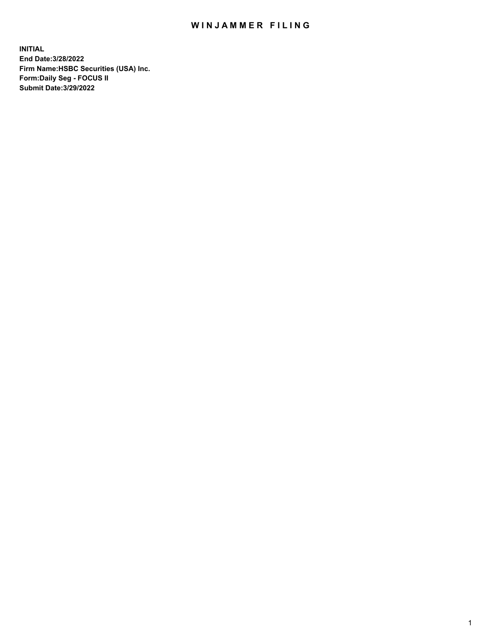## WIN JAMMER FILING

**INITIAL End Date:3/28/2022 Firm Name:HSBC Securities (USA) Inc. Form:Daily Seg - FOCUS II Submit Date:3/29/2022**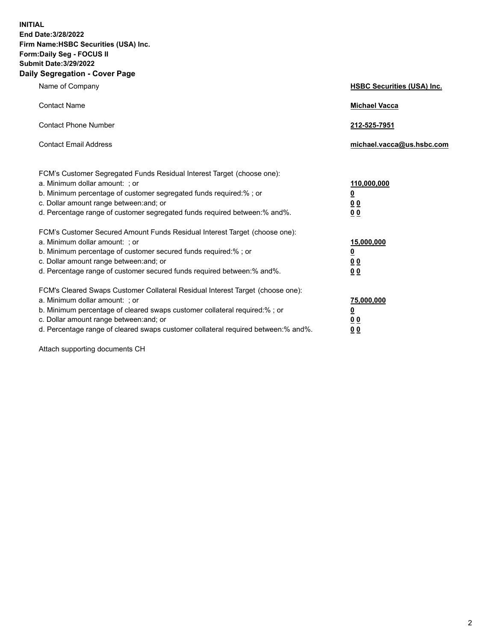**INITIAL End Date:3/28/2022 Firm Name:HSBC Securities (USA) Inc. Form:Daily Seg - FOCUS II Submit Date:3/29/2022 Daily Segregation - Cover Page**

| Name of Company                                                                                                                                                                                                                                                                                                                | <b>HSBC Securities (USA) Inc.</b>                          |
|--------------------------------------------------------------------------------------------------------------------------------------------------------------------------------------------------------------------------------------------------------------------------------------------------------------------------------|------------------------------------------------------------|
| <b>Contact Name</b>                                                                                                                                                                                                                                                                                                            | <b>Michael Vacca</b>                                       |
| <b>Contact Phone Number</b>                                                                                                                                                                                                                                                                                                    | 212-525-7951                                               |
| <b>Contact Email Address</b>                                                                                                                                                                                                                                                                                                   | michael.vacca@us.hsbc.com                                  |
| FCM's Customer Segregated Funds Residual Interest Target (choose one):<br>a. Minimum dollar amount: ; or<br>b. Minimum percentage of customer segregated funds required:%; or<br>c. Dollar amount range between: and; or<br>d. Percentage range of customer segregated funds required between: % and %.                        | 110,000,000<br><u>0</u><br>00<br>0 <sub>0</sub>            |
| FCM's Customer Secured Amount Funds Residual Interest Target (choose one):<br>a. Minimum dollar amount: ; or<br>b. Minimum percentage of customer secured funds required:%; or<br>c. Dollar amount range between: and; or<br>d. Percentage range of customer secured funds required between: % and %.                          | 15,000,000<br><u>0</u><br>0 <sub>0</sub><br>0 <sub>0</sub> |
| FCM's Cleared Swaps Customer Collateral Residual Interest Target (choose one):<br>a. Minimum dollar amount: ; or<br>b. Minimum percentage of cleared swaps customer collateral required:% ; or<br>c. Dollar amount range between: and; or<br>d. Percentage range of cleared swaps customer collateral required between:% and%. | 75,000,000<br><u>0</u><br><u>00</u><br>00                  |

Attach supporting documents CH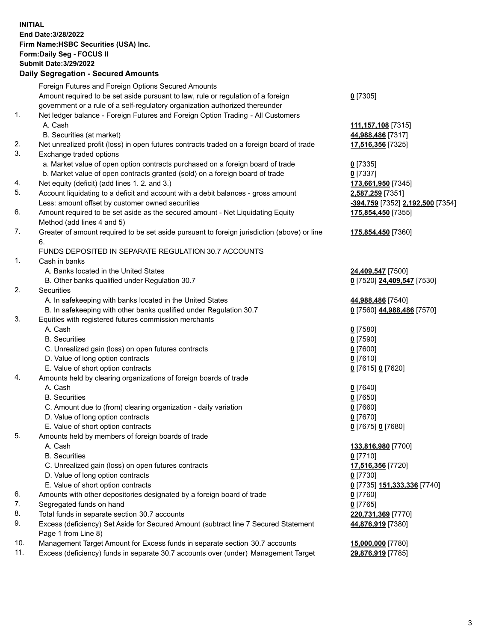**INITIAL End Date:3/28/2022 Firm Name:HSBC Securities (USA) Inc. Form:Daily Seg - FOCUS II Submit Date:3/29/2022 Daily Segregation - Secured Amounts** Foreign Futures and Foreign Options Secured Amounts Amount required to be set aside pursuant to law, rule or regulation of a foreign government or a rule of a self-regulatory organization authorized thereunder **0** [7305] 1. Net ledger balance - Foreign Futures and Foreign Option Trading - All Customers A. Cash **111,157,108** [7315] B. Securities (at market) **44,988,486** [7317] 2. Net unrealized profit (loss) in open futures contracts traded on a foreign board of trade **17,516,356** [7325] 3. Exchange traded options a. Market value of open option contracts purchased on a foreign board of trade **0** [7335] b. Market value of open contracts granted (sold) on a foreign board of trade **0** [7337] 4. Net equity (deficit) (add lines 1. 2. and 3.) **173,661,950** [7345] 5. Account liquidating to a deficit and account with a debit balances - gross amount **2,587,259** [7351] Less: amount offset by customer owned securities **-394,759** [7352] **2,192,500** [7354] 6. Amount required to be set aside as the secured amount - Net Liquidating Equity Method (add lines 4 and 5) **175,854,450** [7355] 7. Greater of amount required to be set aside pursuant to foreign jurisdiction (above) or line 6. **175,854,450** [7360] FUNDS DEPOSITED IN SEPARATE REGULATION 30.7 ACCOUNTS 1. Cash in banks A. Banks located in the United States **24,409,547** [7500] B. Other banks qualified under Regulation 30.7 **0** [7520] **24,409,547** [7530] 2. Securities A. In safekeeping with banks located in the United States **44,988,486** [7540] B. In safekeeping with other banks qualified under Regulation 30.7 **0** [7560] **44,988,486** [7570] 3. Equities with registered futures commission merchants A. Cash **0** [7580] B. Securities **0** [7590] C. Unrealized gain (loss) on open futures contracts **0** [7600] D. Value of long option contracts **0** [7610] E. Value of short option contracts **0** [7615] **0** [7620] 4. Amounts held by clearing organizations of foreign boards of trade A. Cash **0** [7640] B. Securities **0** [7650] C. Amount due to (from) clearing organization - daily variation **0** [7660] D. Value of long option contracts **0** [7670] E. Value of short option contracts **0** [7675] **0** [7680] 5. Amounts held by members of foreign boards of trade A. Cash **133,816,980** [7700] B. Securities **0** [7710] C. Unrealized gain (loss) on open futures contracts **17,516,356** [7720] D. Value of long option contracts **0** [7730] E. Value of short option contracts **0** [7735] **151,333,336** [7740] 6. Amounts with other depositories designated by a foreign board of trade **0** [7760] 7. Segregated funds on hand **0** [7765] 8. Total funds in separate section 30.7 accounts **220,731,369** [7770] 9. Excess (deficiency) Set Aside for Secured Amount (subtract line 7 Secured Statement Page 1 from Line 8) **44,876,919** [7380]

10. Management Target Amount for Excess funds in separate section 30.7 accounts **15,000,000** [7780]

11. Excess (deficiency) funds in separate 30.7 accounts over (under) Management Target **29,876,919** [7785]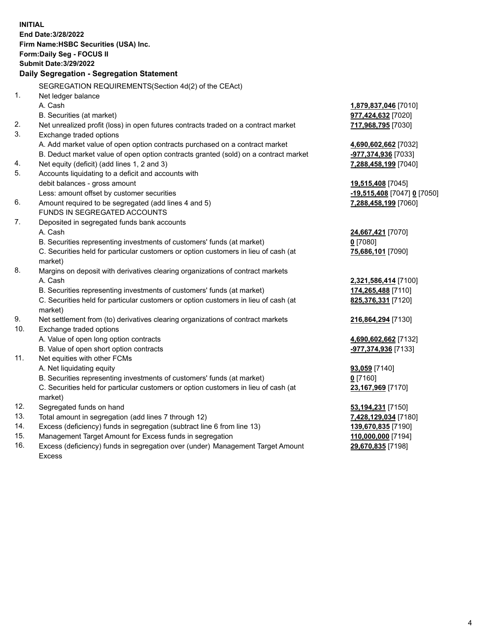**INITIAL End Date:3/28/2022 Firm Name:HSBC Securities (USA) Inc. Form:Daily Seg - FOCUS II Submit Date:3/29/2022 Daily Segregation - Segregation Statement** SEGREGATION REQUIREMENTS(Section 4d(2) of the CEAct) 1. Net ledger balance A. Cash **1,879,837,046** [7010] B. Securities (at market) **977,424,632** [7020] 2. Net unrealized profit (loss) in open futures contracts traded on a contract market **717,968,795** [7030] 3. Exchange traded options A. Add market value of open option contracts purchased on a contract market **4,690,602,662** [7032] B. Deduct market value of open option contracts granted (sold) on a contract market **-977,374,936** [7033] 4. Net equity (deficit) (add lines 1, 2 and 3) **7,288,458,199** [7040] 5. Accounts liquidating to a deficit and accounts with debit balances - gross amount **19,515,408** [7045] Less: amount offset by customer securities **-19,515,408** [7047] **0** [7050] 6. Amount required to be segregated (add lines 4 and 5) **7,288,458,199** [7060] FUNDS IN SEGREGATED ACCOUNTS 7. Deposited in segregated funds bank accounts A. Cash **24,667,421** [7070] B. Securities representing investments of customers' funds (at market) **0** [7080] C. Securities held for particular customers or option customers in lieu of cash (at market) **75,686,101** [7090] 8. Margins on deposit with derivatives clearing organizations of contract markets A. Cash **2,321,586,414** [7100] B. Securities representing investments of customers' funds (at market) **174,265,488** [7110] C. Securities held for particular customers or option customers in lieu of cash (at market) **825,376,331** [7120] 9. Net settlement from (to) derivatives clearing organizations of contract markets **216,864,294** [7130] 10. Exchange traded options A. Value of open long option contracts **4,690,602,662** [7132] B. Value of open short option contracts **-977,374,936** [7133] 11. Net equities with other FCMs A. Net liquidating equity **93,059** [7140] B. Securities representing investments of customers' funds (at market) **0** [7160] C. Securities held for particular customers or option customers in lieu of cash (at market) **23,167,969** [7170] 12. Segregated funds on hand **53,194,231** [7150] 13. Total amount in segregation (add lines 7 through 12) **7,428,129,034** [7180] 14. Excess (deficiency) funds in segregation (subtract line 6 from line 13) **139,670,835** [7190] 15. Management Target Amount for Excess funds in segregation **110,000,000** [7194]

16. Excess (deficiency) funds in segregation over (under) Management Target Amount Excess

**29,670,835** [7198]